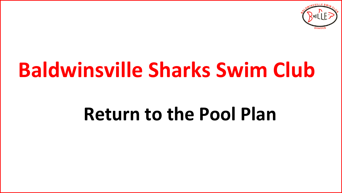

# **Baldwinsville Sharks Swim Club**

# **Return to the Pool Plan**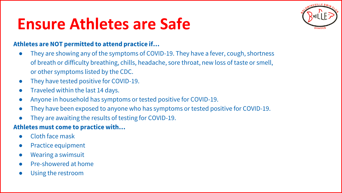### **Ensure Athletes are Safe**



#### **Athletes are NOT permitted to attend practice if…**

- They are showing any of the symptoms of COVID-19. They have a fever, cough, shortness of breath or difficulty breathing, chills, headache, sore throat, new loss of taste or smell, or other symptoms listed by the CDC.
- They have tested positive for COVID-19.
- Traveled within the last 14 days.
- Anyone in household has symptoms or tested positive for COVID-19.
- They have been exposed to anyone who has symptoms or tested positive for COVID-19.
- They are awaiting the results of testing for COVID-19.

#### **Athletes must come to practice with…**

- Cloth face mask
- Practice equipment
- Wearing a swimsuit
- Pre-showered at home
- Using the restroom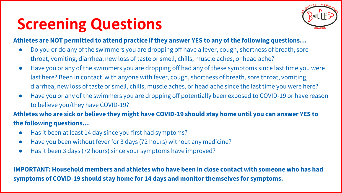# **Screening Questions**



#### **Athletes are NOT permitted to attend practice if they answer YES to any of the following questions…**

- Do you or do any of the swimmers you are dropping off have a fever, cough, shortness of breath, sore throat, vomiting, diarrhea, new loss of taste or smell, chills, muscle aches, or head ache?
- Have you or any of the swimmers you are dropping off had any of these symptoms since last time you were last here? Been in contact with anyone with fever, cough, shortness of breath, sore throat, vomiting, diarrhea, new loss of taste or smell, chills, muscle aches, or head ache since the last time you were here?
- Have you or any of the swimmers you are dropping off potentially been exposed to COVID-19 or have reason to believe you/they have COVID-19?

**Athletes who are sick or believe they might have COVID-19 should stay home until you can answer YES to the following questions…**

- Has it been at least 14 day since you first had symptoms?
- Have you been without fever for 3 days (72 hours) without any medicine?
- Has it been 3 days (72 hours) since your symptoms have improved?

**IMPORTANT: Household members and athletes who have been in close contact with someone who has had symptoms of COVID-19 should stay home for 14 days and monitor themselves for symptoms.**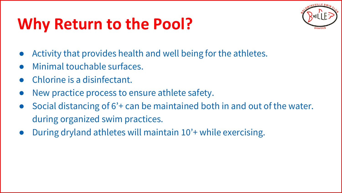# **Why Return to the Pool?**



- Activity that provides health and well being for the athletes.
- Minimal touchable surfaces.
- Chlorine is a disinfectant.
- New practice process to ensure athlete safety.
- Social distancing of 6<sup>2</sup> + can be maintained both in and out of the water. during organized swim practices.
- During dryland athletes will maintain 10'+ while exercising.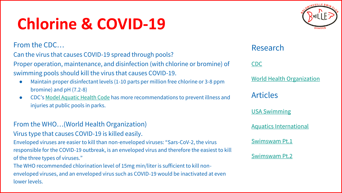# **Chlorine & COVID-19**

From the CDC…

Can the virus that causes COVID-19 spread through pools?

Proper operation, maintenance, and disinfection (with chlorine or bromine) of swimming pools should kill the virus that causes COVID-19.

- Maintain proper disinfectant levels (1-10 parts per million free chlorine or 3-8 ppm bromine) and pH (7.2-8)
- CDC's [Model Aquatic Health Code](https://www.cdc.gov/coronavirus/2019-ncov/php/water.html) has more recommendations to prevent illness and injuries at public pools in parks.

### From the WHO…(World Health Organization)

#### Virus type that causes COVID-19 is killed easily.

Enveloped viruses are easier to kill than non-enveloped viruses: "Sars-CoV-2, the virus responsible for the COVID-19 outbreak, is an enveloped virus and therefore the easiest to kill of the three types of viruses."

The WHO recommended chlorination level of 15mg min/liter is sufficient to kill nonenveloped viruses, and an enveloped virus such as COVID-19 would be inactivated at even lower levels.

### Research

#### [CDC](https://www.cdc.gov/healthywater/swimming/index.html)

[World Health Organization](https://www.who.int/bulletin/volumes/92/2/13-126391/en/)

Articles

[USA Swimming](https://www.usaswimming.org/utility/community-quaratine-resources)

[Aquatics International](https://www.aquaticsintl.com/facilities/maintenance/world-health-organization-says-treated-water-safe-from-coronavirus_o)

[Swimswam Pt.1](https://swimswam.com/survey-44-new-jersey-indoor-pool-operators-report-no-spread-of-coronavirus/)

#### [Swimswam Pt.2](https://swimswam.com/whats-known-about-chlorines-impact-on-coronavirus/)

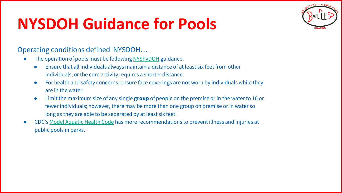### **NYSDOH Guidance for Pools**



### Operating conditions defined NYSDOH…

- The operation of pools must be following [NYShyDOH](https://coronavirus.health.ny.gov/system/files/documents/2020/06/doh_covid19_pooladvisory_061120_0.pdf) guidance.
	- Ensure that all individuals always maintain a distance of at least six feet from other individuals, or the core activity requires a shorter distance.
	- For health and safety concerns, ensure face coverings are not worn by individuals while they are in the water.
	- Limit the maximum size of any single **group** of people on the premise or in the water to 10 or fewer individuals; however, there may be more than one group on premise or in water so long as they are able to be separated by at least six feet.
- CDC's [Model Aquatic Health Code](https://www.cdc.gov/coronavirus/2019-ncov/php/water.html) has more recommendations to prevent illness and injuries at public pools in parks.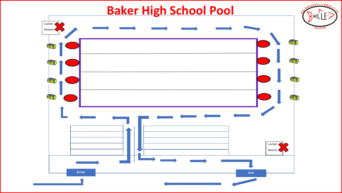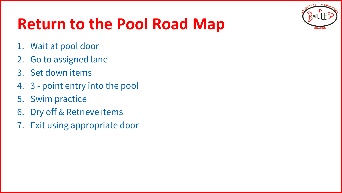

# **Return to the Pool Road Map**

- 1. Wait at pool door
- 2. Go to assigned lane
- 3. Set down items
- 4. 3 point entry into the pool
- 5. Swim practice
- 6. Dry off & Retrieve items
- 7. Exit using appropriate door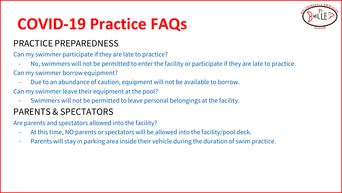### **COVID-19 Practice FAQs**

### PRACTICE PREPAREDNESS

Can my swimmer participate if they are late to practice?

- No, swimmers will not be permitted to enter the facility or participate if they are late to practice. Can my swimmer borrow equipment?
	- Due to an abundance of caution, equipment will not be available to borrow.
- Can my swimmer leave their equipment at the pool?
	- Swimmers will not be permitted to leave personal belongings at the facility.

### PARENTS & SPECTATORS

Are parents and spectators allowed into the facility?

- At this time, NO parents or spectators will be allowed into the facility/pool deck.
- Parents will stay in parking area inside their vehicle during the duration of swim practice.